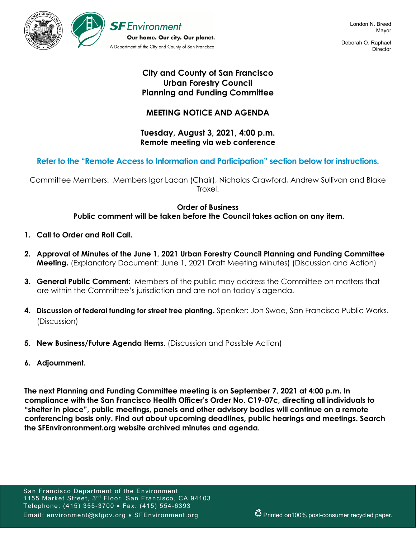

Deborah O. Raphael **Director** 

## **City and County of San Francisco Urban Forestry Council Planning and Funding Committee**

# **MEETING NOTICE AND AGENDA**

## **Tuesday, August 3, 2021, 4:00 p.m. Remote meeting via web conference**

## **Refer to the "Remote Access to Information and Participation" section below for instructions.**

Committee Members: Members Igor Lacan (Chair), Nicholas Crawford, Andrew Sullivan and Blake Troxel.

### **Order of Business Public comment will be taken before the Council takes action on any item.**

- **1. Call to Order and Roll Call.**
- **2. Approval of Minutes of the June 1, 2021 Urban Forestry Council Planning and Funding Committee Meeting.** (Explanatory Document: June 1, 2021 Draft Meeting Minutes) (Discussion and Action)
- **3. General Public Comment:** Members of the public may address the Committee on matters that are within the Committee's jurisdiction and are not on today's agenda.
- **4. Discussion of federal funding for street tree planting.** Speaker: Jon Swae, San Francisco Public Works. (Discussion)
- **5. New Business/Future Agenda Items.** (Discussion and Possible Action)
- **6. Adjournment.**

**The next Planning and Funding Committee meeting is on September 7, 2021 at 4:00 p.m. In compliance with the San Francisco Health Officer's Order No. C19-07c, directing all individuals to "shelter in place", public meetings, panels and other advisory bodies will continue on a remote conferencing basis only. Find out about upcoming deadlines, public hearings and meetings. Search the SFEnvironronment.org website archived minutes and agenda.**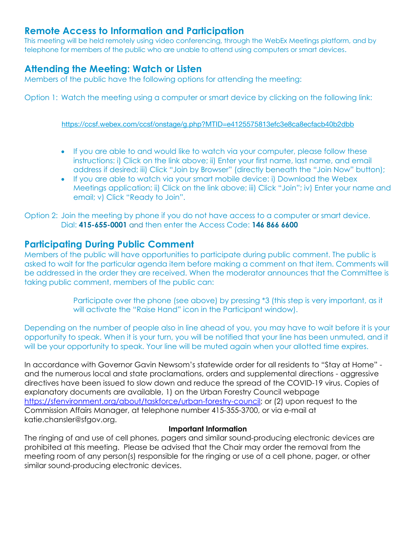# **Remote Access to Information and Participation**

This meeting will be held remotely using video conferencing, through the WebEx Meetings platform, and by telephone for members of the public who are unable to attend using computers or smart devices.

# **Attending the Meeting: Watch or Listen**

Members of the public have the following options for attending the meeting:

Option 1: Watch the meeting using a computer or smart device by clicking on the following link:

https://ccsf.webex.com/ccsf/onstage/g.php?MTID=e4125575813efc3e8ca8ecfacb40b2dbb

- If you are able to and would like to watch via your computer, please follow these instructions: i) Click on the link above; ii) Enter your first name, last name, and email address if desired; iii) Click "Join by Browser" (directly beneath the "Join Now" button);
- If you are able to watch via your smart mobile device: i) Download the Webex Meetings application; ii) Click on the link above; iii) Click "Join"; iv) Enter your name and email; v) Click "Ready to Join".

Option 2: Join the meeting by phone if you do not have access to a computer or smart device. Dial: **415-655-0001** and then enter the Access Code: **146 866 6600**

# **Participating During Public Comment**

Members of the public will have opportunities to participate during public comment. The public is asked to wait for the particular agenda item before making a comment on that item. Comments will be addressed in the order they are received. When the moderator announces that the Committee is taking public comment, members of the public can:

> Participate over the phone (see above) by pressing \*3 (this step is very important, as it will activate the "Raise Hand" icon in the Participant window).

Depending on the number of people also in line ahead of you, you may have to wait before it is your opportunity to speak. When it is your turn, you will be notified that your line has been unmuted, and it will be your opportunity to speak. Your line will be muted again when your allotted time expires.

In accordance with Governor Gavin Newsom's statewide order for all residents to "Stay at Home" and the numerous local and state proclamations, orders and supplemental directions - aggressive directives have been issued to slow down and reduce the spread of the COVID-19 virus. Copies of explanatory documents are available, 1) on the Urban Forestry Council webpage https://sfenvironment.org/about/taskforce/urban-forestry-council; or (2) upon request to the Commission Affairs Manager, at telephone number 415-355-3700, or via e-mail at katie.chansler@sfgov.org.

## **Important Information**

The ringing of and use of cell phones, pagers and similar sound-producing electronic devices are prohibited at this meeting. Please be advised that the Chair may order the removal from the meeting room of any person(s) responsible for the ringing or use of a cell phone, pager, or other similar sound-producing electronic devices.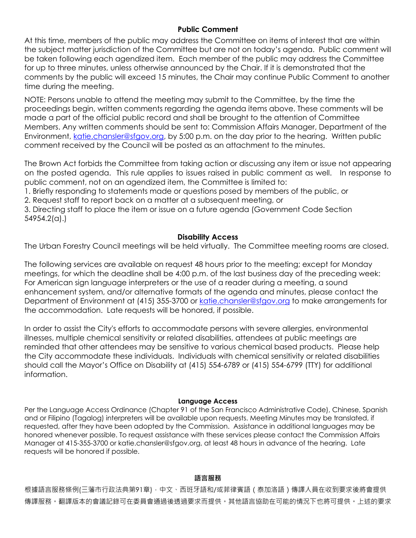### **Public Comment**

At this time, members of the public may address the Committee on items of interest that are within the subject matter jurisdiction of the Committee but are not on today's agenda. Public comment will be taken following each agendized item. Each member of the public may address the Committee for up to three minutes, unless otherwise announced by the Chair. If it is demonstrated that the comments by the public will exceed 15 minutes, the Chair may continue Public Comment to another time during the meeting.

NOTE: Persons unable to attend the meeting may submit to the Committee, by the time the proceedings begin, written comments regarding the agenda items above. These comments will be made a part of the official public record and shall be brought to the attention of Committee Members. Any written comments should be sent to: Commission Affairs Manager, Department of the Environment, katie.chansler@sfgov.org, by 5:00 p.m. on the day prior to the hearing. Written public comment received by the Council will be posted as an attachment to the minutes.

The Brown Act forbids the Committee from taking action or discussing any item or issue not appearing on the posted agenda. This rule applies to issues raised in public comment as well. In response to public comment, not on an agendized item, the Committee is limited to:

1. Briefly responding to statements made or questions posed by members of the public, or

2. Request staff to report back on a matter at a subsequent meeting, or

3. Directing staff to place the item or issue on a future agenda (Government Code Section 54954.2(a).)

### **Disability Access**

The Urban Forestry Council meetings will be held virtually. The Committee meeting rooms are closed.

The following services are available on request 48 hours prior to the meeting; except for Monday meetings, for which the deadline shall be 4:00 p.m. of the last business day of the preceding week: For American sign language interpreters or the use of a reader during a meeting, a sound enhancement system, and/or alternative formats of the agenda and minutes, please contact the Department of Environment at (415) 355-3700 or katie.chansler@sfgov.org to make arrangements for the accommodation. Late requests will be honored, if possible.

In order to assist the City's efforts to accommodate persons with severe allergies, environmental illnesses, multiple chemical sensitivity or related disabilities, attendees at public meetings are reminded that other attendees may be sensitive to various chemical based products. Please help the City accommodate these individuals. Individuals with chemical sensitivity or related disabilities should call the Mayor's Office on Disability at (415) 554-6789 or (415) 554-6799 (TTY) for additional information.

#### **Language Access**

Per the Language Access Ordinance (Chapter 91 of the San Francisco Administrative Code), Chinese, Spanish and or Filipino (Tagalog) interpreters will be available upon requests. Meeting Minutes may be translated, if requested, after they have been adopted by the Commission. Assistance in additional languages may be honored whenever possible. To request assistance with these services please contact the Commission Affairs Manager at 415-355-3700 or katie.chansler@sfgov.org, at least 48 hours in advance of the hearing. Late requests will be honored if possible.

#### **語言服務**

根據語言服務條例(三藩市行政法典第91章),中文、西班牙語和/或菲律賓語 (泰加洛語)傳譯人員在收到要求後將會提供 傳譯服務。翻譯版本的會議記錄可在委員會通過後透過要求而提供。其他語言協助在可能的情況下也將可提供。上述的要求